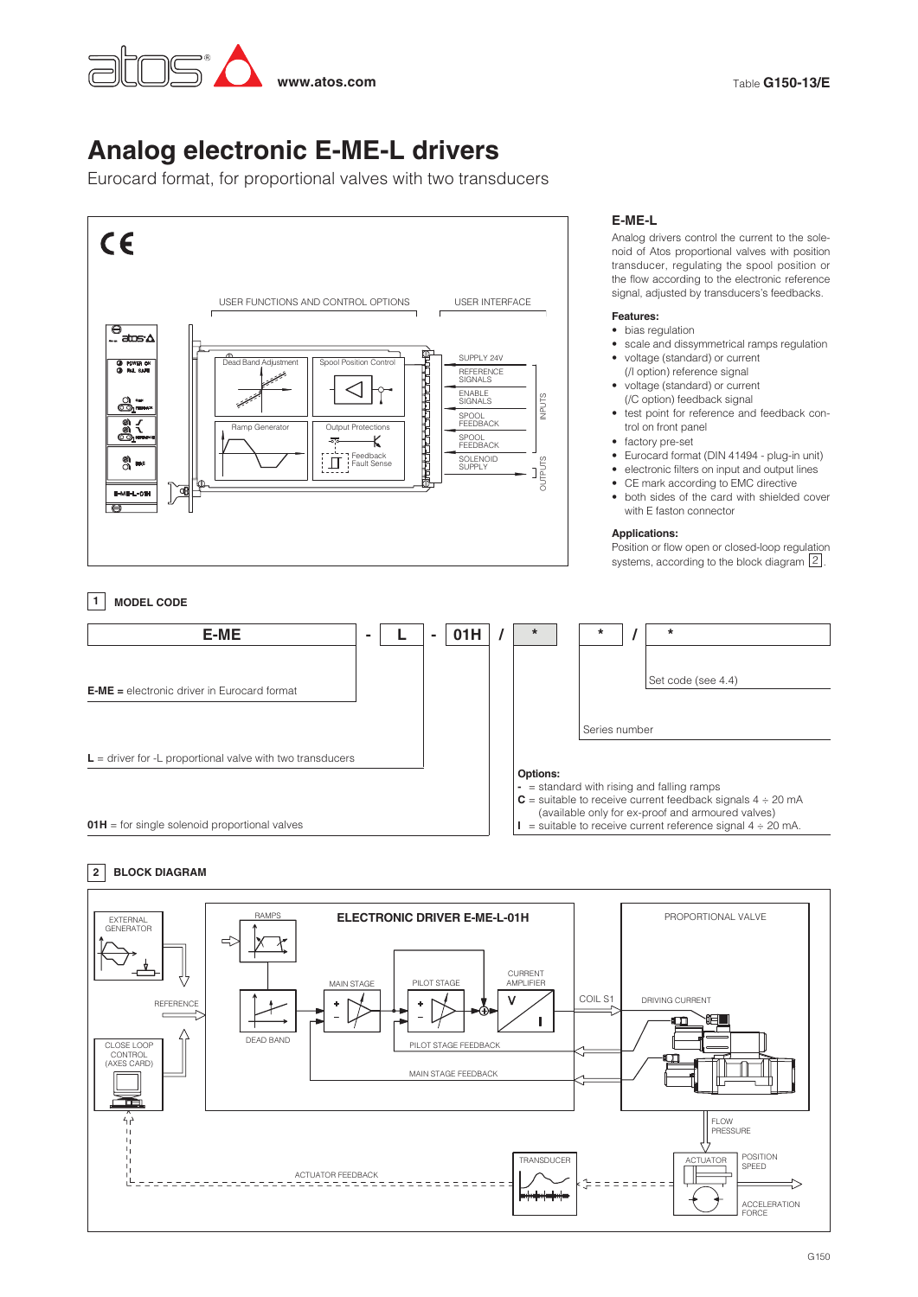

# **Analog electronic E-ME-L drivers**

Eurocard format, for proportional valves with two transducers



# **E-ME-L**

Analog drivers control the current to the solenoid of Atos proportional valves with position transducer, regulating the spool position or the flow according to the electronic reference signal, adjusted by transducers's feedbacks.

## **Features:**

- bias regulation
- scale and dissymmetrical ramps regulation
- voltage (standard) or current (/I option) reference signal
- voltage (standard) or current (/C option) feedback signal
- test point for reference and feedback control on front panel
- factory pre-set
- Eurocard format (DIN 41494 plug-in unit)
- electronic filters on input and output lines
- CE mark according to EMC directive
- both sides of the card with shielded cover with E faston connector

## **Applications:**

Position or flow open or closed-loop regulation systems, according to the block diagram  $\boxed{2}$ .

# **1 MODEL CODE**



# **2 BLOCK DIAGRAM**

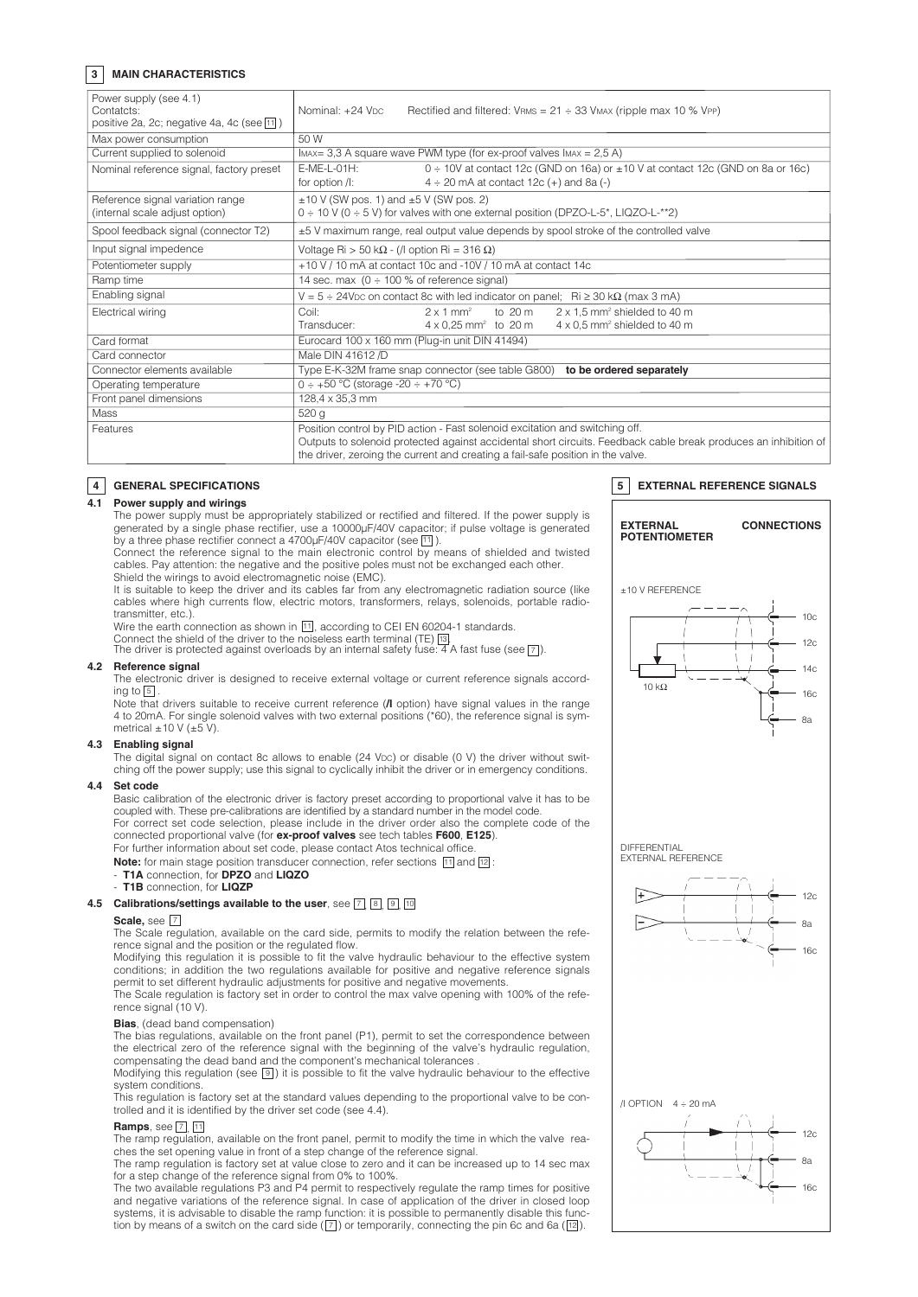## **3 MAIN CHARACTERISTICS**

| Power supply (see 4.1)<br>Contatcts:<br>positive 2a, 2c; negative 4a, 4c (see $\boxed{11}$ ) | Nominal: +24 Vpc<br>Rectified and filtered: $V_{RMS} = 21 \div 33$ VMAX (ripple max 10 % VPP)                                                                                                                                                                                      |
|----------------------------------------------------------------------------------------------|------------------------------------------------------------------------------------------------------------------------------------------------------------------------------------------------------------------------------------------------------------------------------------|
| Max power consumption                                                                        | 50 W                                                                                                                                                                                                                                                                               |
| Current supplied to solenoid                                                                 | IMAX = 3,3 A square wave PWM type (for ex-proof valves $\text{IMAX} = 2.5 \text{ A}$ )                                                                                                                                                                                             |
| Nominal reference signal, factory preset                                                     | $F-MF-L-01H$ :<br>0 ÷ 10V at contact 12c (GND on 16a) or ±10 V at contact 12c (GND on 8a or 16c)<br>$4 \div 20$ mA at contact 12c (+) and 8a (-)<br>for option /I:                                                                                                                 |
| Reference signal variation range<br>(internal scale adjust option)                           | $\pm$ 10 V (SW pos. 1) and $\pm$ 5 V (SW pos. 2)<br>$0 \div 10$ V ( $0 \div 5$ V) for valves with one external position (DPZO-L-5*, LIQZO-L-**2)                                                                                                                                   |
| Spool feedback signal (connector T2)                                                         | ±5 V maximum range, real output value depends by spool stroke of the controlled valve                                                                                                                                                                                              |
| Input signal impedence                                                                       | Voltage Ri > 50 k $\Omega$ - (/l option Ri = 316 $\Omega$ )                                                                                                                                                                                                                        |
| Potentiometer supply                                                                         | +10 V / 10 mA at contact 10c and -10V / 10 mA at contact 14c                                                                                                                                                                                                                       |
| Ramp time                                                                                    | 14 sec. max $(0 \div 100\%$ of reference signal)                                                                                                                                                                                                                                   |
| Enabling signal                                                                              | $V = 5 \div 24$ V <sub>D</sub> c on contact 8c with led indicator on panel; Ri $\geq 30$ k $\Omega$ (max 3 mA)                                                                                                                                                                     |
| Electrical wiring                                                                            | Coil:<br>to 20 m<br>$2 \times 1.5$ mm <sup>2</sup> shielded to 40 m<br>$2 \times 1$ mm <sup>2</sup>                                                                                                                                                                                |
|                                                                                              | 4 x 0,5 mm <sup>2</sup> shielded to 40 m<br>$4 \times 0,25$ mm <sup>2</sup> to 20 m<br>Transducer:                                                                                                                                                                                 |
| Card format                                                                                  | Eurocard 100 x 160 mm (Plug-in unit DIN 41494)                                                                                                                                                                                                                                     |
| Card connector                                                                               | Male DIN 41612 /D                                                                                                                                                                                                                                                                  |
| Connector elements available                                                                 | to be ordered separately<br>Type E-K-32M frame snap connector (see table G800)                                                                                                                                                                                                     |
| Operating temperature                                                                        | $0 \div 50$ °C (storage -20 $\div 70$ °C)                                                                                                                                                                                                                                          |
| Front panel dimensions                                                                       | 128,4 x 35,3 mm                                                                                                                                                                                                                                                                    |
| <b>Mass</b>                                                                                  | 520 g                                                                                                                                                                                                                                                                              |
| Features                                                                                     | Position control by PID action - Fast solenoid excitation and switching off.<br>Outputs to solenoid protected against accidental short circuits. Feedback cable break produces an inhibition of<br>the driver, zeroing the current and creating a fail-safe position in the valve. |

#### **4 GENERAL SPECIFICATIONS**

#### **4.1 Power supply and wirings**

 The power supply must be appropriately stabilized or rectified and filtered. If the power supply is generated by a single phase rectifier, use a 10000µF/40V capacitor; if pulse voltage is generated by a three phase rectifier connect a  $4700 \mu$ F/40V capacitor (see  $\overline{11}$ ).

 Connect the reference signal to the main electronic control by means of shielded and twisted cables. Pay attention: the negative and the positive poles must not be exchanged each other. Shield the wirings to avoid electromagnetic noise (EMC).

 It is suitable to keep the driver and its cables far from any electromagnetic radiation source (like cables where high currents flow, electric motors, transformers, relays, solenoids, portable radiotransmitter, etc.).

Wire the earth connection as shown in  $\overline{11}$ , according to CEI EN 60204-1 standards. Connect the shield of the driver to the noiseless earth terminal (TE) [3].<br>The driver is protected against overloads by an internal safety fuse: 4 A fast fuse (see [7]).

## **4.2 Reference signal**

 The electronic driver is designed to receive external voltage or current reference signals according to  $\boxed{5}$ .

 Note that drivers suitable to receive current reference (**/I** option) have signal values in the range 4 to 20mA. For single solenoid valves with two external positions (\*60), the reference signal is symmetrical  $\pm 10$  V ( $\pm 5$  V).

#### **4.3 Enabling signal**

The digital signal on contact 8c allows to enable (24 Vpc) or disable (0 V) the driver without switching off the power supply; use this signal to cyclically inhibit the driver or in emergency conditions.

## **4.4 Set code**

Basic calibration of the electronic driver is factory preset according to proportional valve it has to be coupled with. These pre-calibrations are identified by a standard number in the model code. For correct set code selection, please include in the driver order also the complete code of the

connected proportional valve (for **ex-proof valves** see tech tables **F600**, **E125**). For further information about set code, please contact Atos technical office.

**Note:** for main stage position transducer connection, refer sections [11] and [12]: - **T1A** connection, for **DPZO** and **LIQZO**

# - **T1B** connection, for **LIQZP**

#### **4.5 Calibrations/settings available to the user, see**  $\boxed{7}$ **, <b>8**, **9**, **10**

#### **Scale,** see 7

 The Scale regulation, available on the card side, permits to modify the relation between the reference signal and the position or the regulated flow.

 Modifying this regulation it is possible to fit the valve hydraulic behaviour to the effective system conditions; in addition the two regulations available for positive and negative reference signals permit to set different hydraulic adjustments for positive and negative movements.

 The Scale regulation is factory set in order to control the max valve opening with 100% of the reference signal (10 V).

## **Bias**, (dead band compensation)

 The bias regulations, available on the front panel (P1), permit to set the correspondence between the electrical zero of the reference signal with the beginning of the valve's hydraulic regulation, compensating the dead band and the component's mechanical tolerances .

Modifying this regulation (see  $[9]$ ) it is possible to fit the valve hydraulic behaviour to the effective system conditions.

 This regulation is factory set at the standard values depending to the proportional valve to be controlled and it is identified by the driver set code (see 4.4).

#### **Ramps**, see  $\boxed{7}$ , 11

 The ramp regulation, available on the front panel, permit to modify the time in which the valve reaches the set opening value in front of a step change of the reference signal.

 The ramp regulation is factory set at value close to zero and it can be increased up to 14 sec max for a step change of the reference signal from 0% to 100%.

 The two available regulations P3 and P4 permit to respectively regulate the ramp times for positive and negative variations of the reference signal. In case of application of the driver in closed loop systems, it is advisable to disable the ramp function: it is possible to permanently disable this function by means of a switch on the card side ( $\boxed{7}$ ) or temporarily, connecting the pin 6c and 6a ( $\boxed{12}$ ).

#### **5 EXTERNAL REFERENCE SIGNALS**

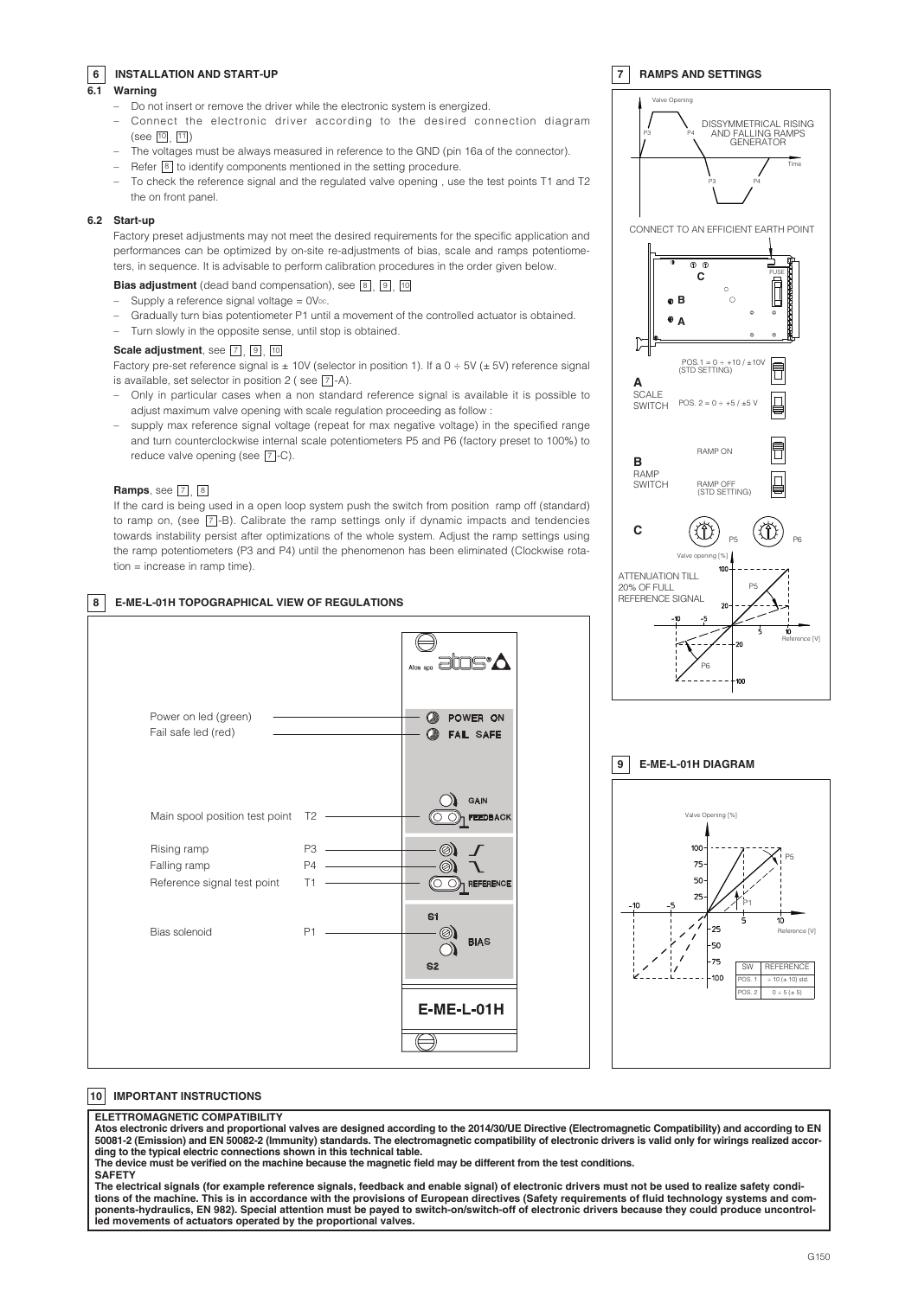## **6 INSTALLATION AND START-UP**

## **6.1 Warning**

- Do not insert or remove the driver while the electronic system is energized.
- Connect the electronic driver according to the desired connection diagram  $($ see  $[10, 11]$
- The voltages must be always measured in reference to the GND (pin 16a of the connector).
- $-$  Refer  $\boxed{8}$  to identify components mentioned in the setting procedure.
	- To check the reference signal and the regulated valve opening , use the test points T1 and T2 the on front panel.

#### **6.2 Start-up**

 Factory preset adjustments may not meet the desired requirements for the specific application and performances can be optimized by on-site re-adjustments of bias, scale and ramps potentiometers, in sequence. It is advisable to perform calibration procedures in the order given below.

## **Bias adjustment** (dead band compensation), see 8, 9, 10

- Supply a reference signal voltage  $= 0V<sub>DC</sub>$ .
- Gradually turn bias potentiometer P1 until a movement of the controlled actuator is obtained.
- Turn slowly in the opposite sense, until stop is obtained.

#### **Scale adjustment**, see  $\boxed{7}$ , **9**, 10

Factory pre-set reference signal is  $\pm$  10V (selector in position 1). If a 0  $\div$  5V ( $\pm$  5V) reference signal is available, set selector in position 2 (see  $\boxed{7}$ -A).

- Only in particular cases when a non standard reference signal is available it is possible to adjust maximum valve opening with scale regulation proceeding as follow :
- supply max reference signal voltage (repeat for max negative voltage) in the specified range and turn counterclockwise internal scale potentiometers P5 and P6 (factory preset to 100%) to reduce valve opening (see  $\boxed{7}$ -C).

## **Ramps**, see  $\boxed{7}$ , 8

 If the card is being used in a open loop system push the switch from position ramp off (standard) to ramp on, (see  $\boxed{7}$ -B). Calibrate the ramp settings only if dynamic impacts and tendencies towards instability persist after optimizations of the whole system. Adjust the ramp settings using the ramp potentiometers (P3 and P4) until the phenomenon has been eliminated (Clockwise rotation = increase in ramp time).

## **8 E-ME-L-01H TOPOGRAPHICAL VIEW OF REGULATIONS**



# Valve Opening DISSYMMETRICAL RISING AND FALLING RAMPS GENERATOR P3 P4 Time P3 P4 CONNECT TO AN EFFICIENT EARTH POINT  $\overline{\circ\circ}$ FUSE**C C B B A A**  $POS.1 = 0 ÷ +10 / ±10V$ <br>(STD SETTING) Ū **A** SCALE lo SWITCH POS.  $2 = 0 \div 15 / 15$ RAMP ON ٦ **B** RAMP **SWITCH** RAMP OFF (STD SETTING) **C**  $PS$   $W$ /  $P6$ Valve opening [%] ATTENUATION TILL 20% OF FULL REFERENCE SIGNAL P5 Reference IV P<sub>6</sub>

**7 RAMPS AND SETTINGS**

## **9 E-ME-L-01H DIAGRAM**



# **10 IMPORTANT INSTRUCTIONS**

## **ELETTROMAGNETIC COMPATIBILITY**

Atos electronic drivers and proportional valves are designed according to the 2014/30/UE Directive (Electromagnetic Compatibility) and according to EN 50081-2 (Emission) and EN 50082-2 (Immunity) standards. The electromagnetic compatibility of electronic drivers is valid only for wirings realized accor**ding to the typical electric connections shown in this technical table.** The device must be verified on the machine because the magnetic field may be different from the test conditions.

**SAFETY**

The electrical signals (for example reference signals, feedback and enable signal) of electronic drivers must not be used to realize safety conditions of the machine. This is in accordance with the provisions of European directives (Safety requirements of fluid technology systems and components-hydraulics, EN 982). Special attention must be payed to switch-on/switch-off of electronic drivers because they could produce uncontrol**led movements of actuators operated by the proportional valves.**